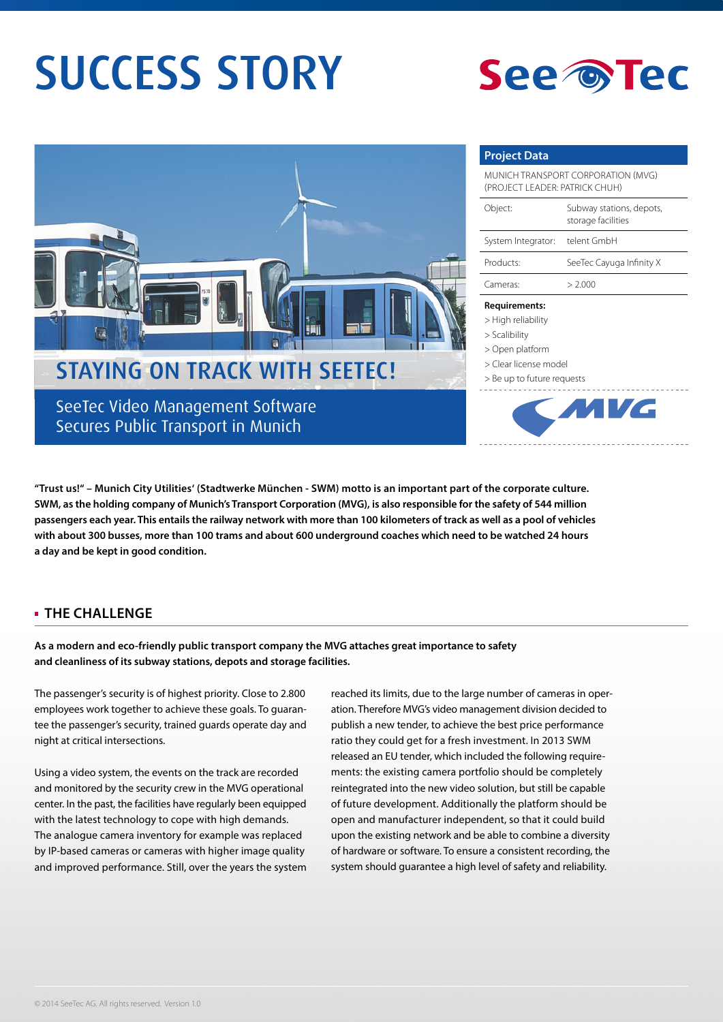# SUCCESS STORY





Secures Public Transport in Munich

### **Project Data**

| MUNICH TRANSPORT CORPORATION (MVG)<br>(PROJECT LEADER: PATRICK CHUH) |                                                |
|----------------------------------------------------------------------|------------------------------------------------|
| Object:                                                              | Subway stations, depots,<br>storage facilities |
| System Integrator:                                                   | telent GmbH                                    |
| Products:                                                            | SeeTec Cayuga Infinity X                       |
| Cameras:                                                             | > 2.000                                        |
|                                                                      |                                                |

#### **Requirements:**

- > High reliability
- > Scalibility
- > Open platform



**"Trust us!" – Munich City Utilities' (Stadtwerke München - SWM) motto is an important part of the corporate culture. SWM, as the holding company of Munich's Transport Corporation (MVG), is also responsible for the safety of 544 million passengers each year. This entails the railway network with more than 100 kilometers of track as well as a pool of vehicles with about 300 busses, more than 100 trams and about 600 underground coaches which need to be watched 24 hours a day and be kept in good condition.** 

## **THE CHALLENGE**

**As a modern and eco-friendly public transport company the MVG attaches great importance to safety and cleanliness of its subway stations, depots and storage facilities.** 

The passenger's security is of highest priority. Close to 2.800 employees work together to achieve these goals. To guarantee the passenger's security, trained guards operate day and night at critical intersections.

Using a video system, the events on the track are recorded and monitored by the security crew in the MVG operational center. In the past, the facilities have regularly been equipped with the latest technology to cope with high demands. The analogue camera inventory for example was replaced by IP-based cameras or cameras with higher image quality and improved performance. Still, over the years the system

reached its limits, due to the large number of cameras in operation. Therefore MVG's video management division decided to publish a new tender, to achieve the best price performance ratio they could get for a fresh investment. In 2013 SWM released an EU tender, which included the following requirements: the existing camera portfolio should be completely reintegrated into the new video solution, but still be capable of future development. Additionally the platform should be open and manufacturer independent, so that it could build upon the existing network and be able to combine a diversity of hardware or software. To ensure a consistent recording, the system should guarantee a high level of safety and reliability.